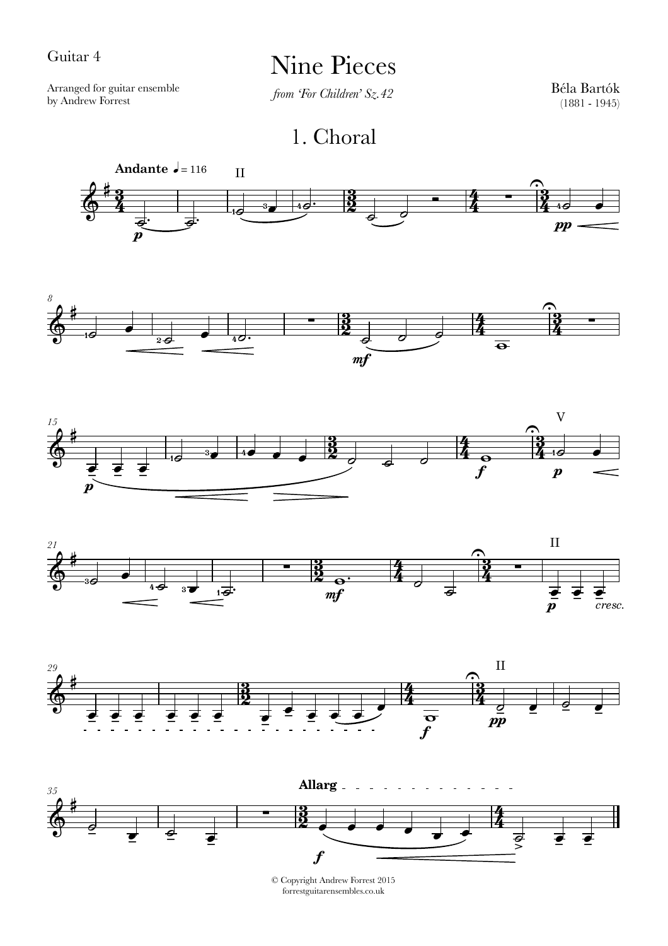## Guitar 4

## Nine Pieces

Arranged for guitar ensemble by Andrew Forrest

*from 'For Children' Sz.42*

Béla Bartók (1881 - 1945)

1. Choral













© Copyright Andrew Forrest 2015 forrestguitarensembles.co.uk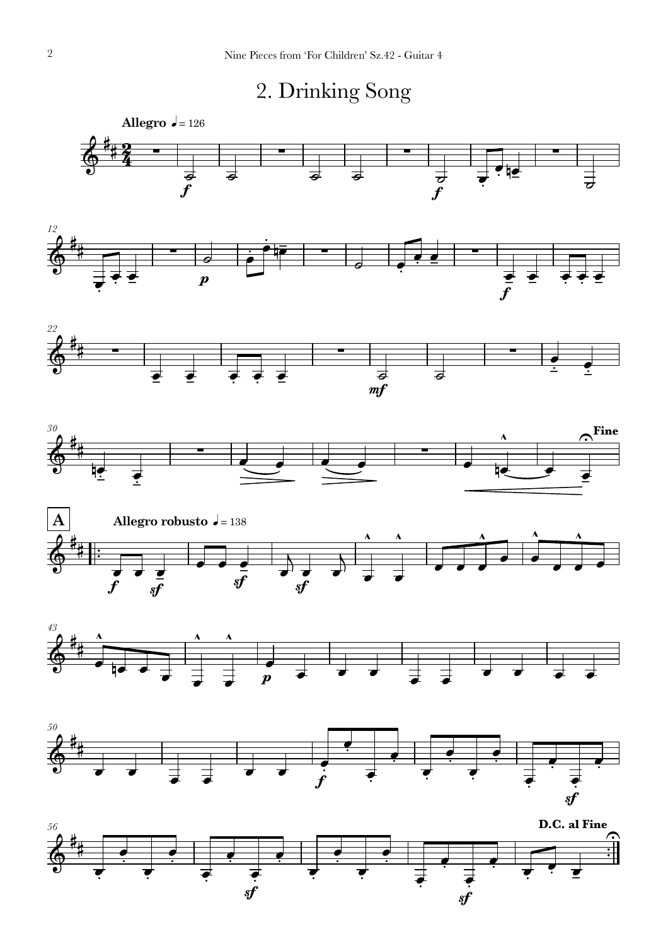

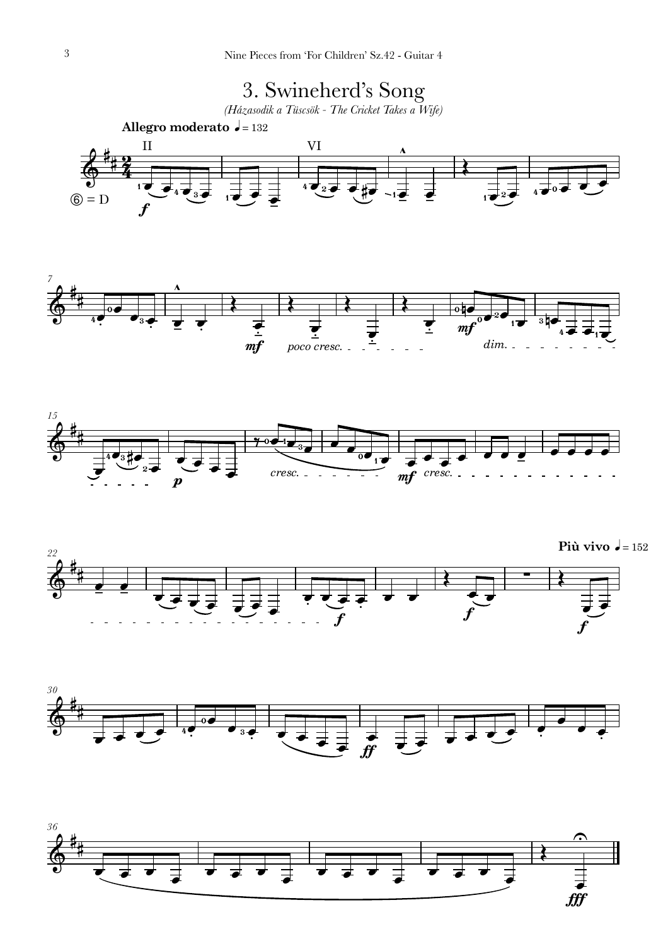

 $\overline{\bullet}$ 

 $\overline{\bullet}$ 

 $\overline{\bullet}$ 

fff<sup>f</sup>

 $\overline{\bullet}$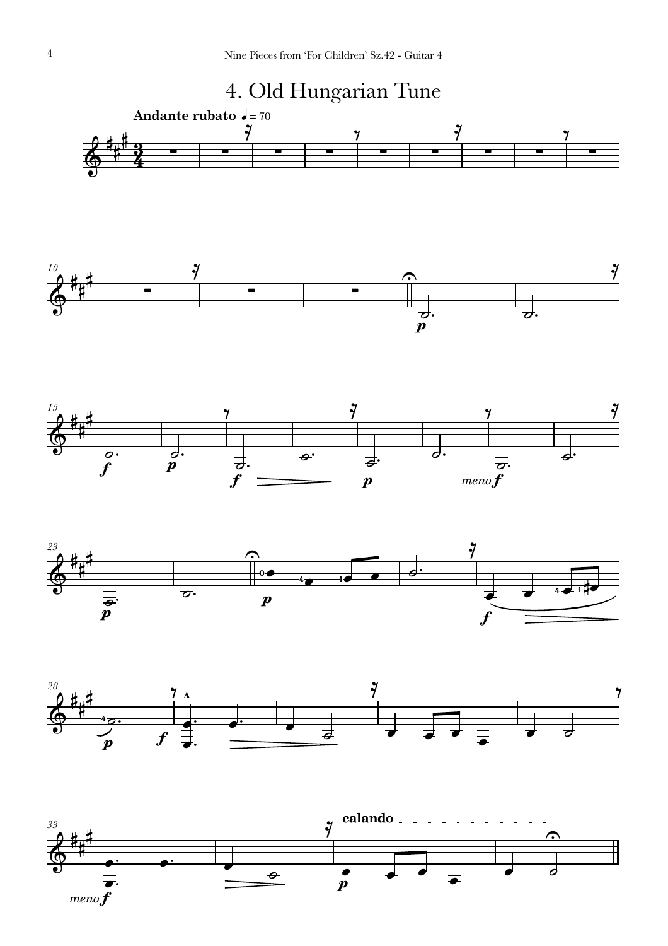